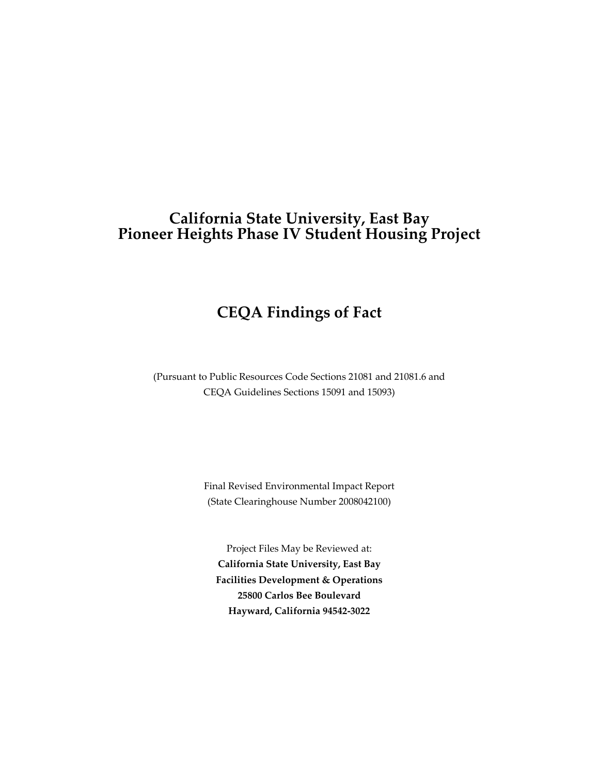# **California State University, East Bay Pioneer Heights Phase IV Student Housing Project**

# **CEQA Findings of Fact**

(Pursuant to Public Resources Code Sections 21081 and 21081.6 and CEQA Guidelines Sections 15091 and 15093)

> Final Revised Environmental Impact Report (State Clearinghouse Number 2008042100)

Project Files May be Reviewed at: **California State University, East Bay Facilities Development & Operations 25800 Carlos Bee Boulevard Hayward, California 94542‐3022**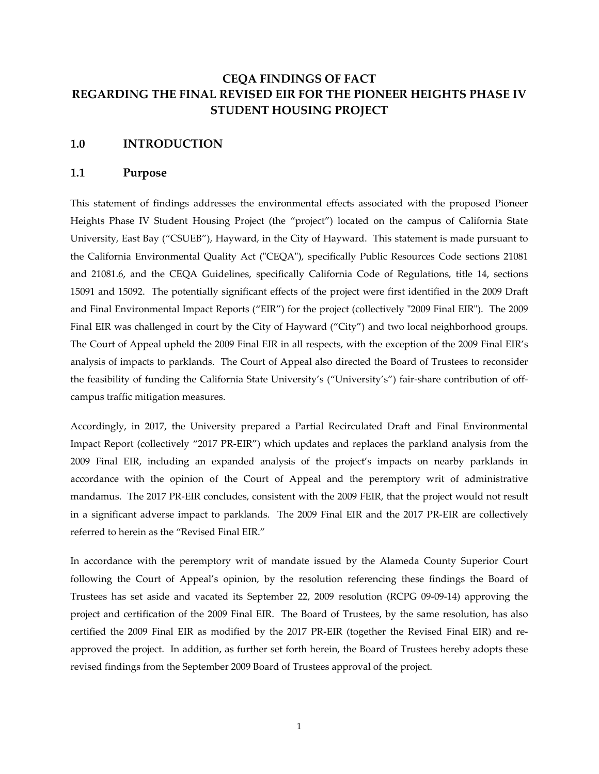# **CEQA FINDINGS OF FACT REGARDING THE FINAL REVISED EIR FOR THE PIONEER HEIGHTS PHASE IV STUDENT HOUSING PROJECT**

#### **1.0 INTRODUCTION**

#### **1.1 Purpose**

This statement of findings addresses the environmental effects associated with the proposed Pioneer Heights Phase IV Student Housing Project (the "project") located on the campus of California State University, East Bay ("CSUEB"), Hayward, in the City of Hayward. This statement is made pursuant to the California Environmental Quality Act ("CEQA"), specifically Public Resources Code sections 21081 and 21081.6, and the CEQA Guidelines, specifically California Code of Regulations, title 14, sections 15091 and 15092. The potentially significant effects of the project were first identified in the 2009 Draft and Final Environmental Impact Reports ("EIR") for the project (collectively "2009 Final EIR"). The 2009 Final EIR was challenged in court by the City of Hayward ("City") and two local neighborhood groups. The Court of Appeal upheld the 2009 Final EIR in all respects, with the exception of the 2009 Final EIR's analysis of impacts to parklands. The Court of Appeal also directed the Board of Trustees to reconsider the feasibility of funding the California State University's ("University's") fair-share contribution of offcampus traffic mitigation measures.

Accordingly, in 2017, the University prepared a Partial Recirculated Draft and Final Environmental Impact Report (collectively "2017 PR‐EIR") which updates and replaces the parkland analysis from the 2009 Final EIR, including an expanded analysis of the project's impacts on nearby parklands in accordance with the opinion of the Court of Appeal and the peremptory writ of administrative mandamus. The 2017 PR-EIR concludes, consistent with the 2009 FEIR, that the project would not result in a significant adverse impact to parklands. The 2009 Final EIR and the 2017 PR-EIR are collectively referred to herein as the "Revised Final EIR."

In accordance with the peremptory writ of mandate issued by the Alameda County Superior Court following the Court of Appeal's opinion, by the resolution referencing these findings the Board of Trustees has set aside and vacated its September 22, 2009 resolution (RCPG 09‐09‐14) approving the project and certification of the 2009 Final EIR. The Board of Trustees, by the same resolution, has also certified the 2009 Final EIR as modified by the 2017 PR-EIR (together the Revised Final EIR) and reapproved the project. In addition, as further set forth herein, the Board of Trustees hereby adopts these revised findings from the September 2009 Board of Trustees approval of the project.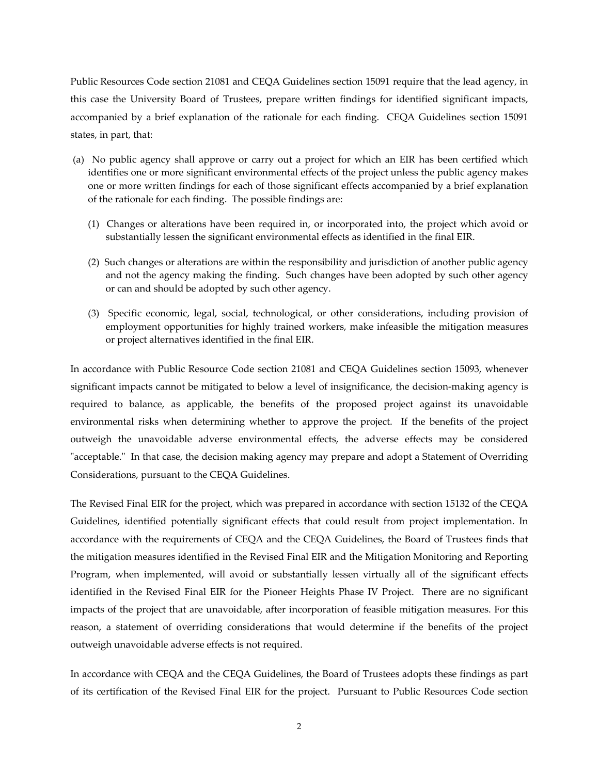Public Resources Code section 21081 and CEQA Guidelines section 15091 require that the lead agency, in this case the University Board of Trustees, prepare written findings for identified significant impacts, accompanied by a brief explanation of the rationale for each finding. CEQA Guidelines section 15091 states, in part, that:

- (a) No public agency shall approve or carry out a project for which an EIR has been certified which identifies one or more significant environmental effects of the project unless the public agency makes one or more written findings for each of those significant effects accompanied by a brief explanation of the rationale for each finding. The possible findings are:
	- (1) Changes or alterations have been required in, or incorporated into, the project which avoid or substantially lessen the significant environmental effects as identified in the final EIR.
	- (2) Such changes or alterations are within the responsibility and jurisdiction of another public agency and not the agency making the finding. Such changes have been adopted by such other agency or can and should be adopted by such other agency.
	- (3) Specific economic, legal, social, technological, or other considerations, including provision of employment opportunities for highly trained workers, make infeasible the mitigation measures or project alternatives identified in the final EIR.

In accordance with Public Resource Code section 21081 and CEQA Guidelines section 15093, whenever significant impacts cannot be mitigated to below a level of insignificance, the decision-making agency is required to balance, as applicable, the benefits of the proposed project against its unavoidable environmental risks when determining whether to approve the project. If the benefits of the project outweigh the unavoidable adverse environmental effects, the adverse effects may be considered "acceptable." In that case, the decision making agency may prepare and adopt a Statement of Overriding Considerations, pursuant to the CEQA Guidelines.

The Revised Final EIR for the project, which was prepared in accordance with section 15132 of the CEQA Guidelines, identified potentially significant effects that could result from project implementation. In accordance with the requirements of CEQA and the CEQA Guidelines, the Board of Trustees finds that the mitigation measures identified in the Revised Final EIR and the Mitigation Monitoring and Reporting Program, when implemented, will avoid or substantially lessen virtually all of the significant effects identified in the Revised Final EIR for the Pioneer Heights Phase IV Project. There are no significant impacts of the project that are unavoidable, after incorporation of feasible mitigation measures. For this reason, a statement of overriding considerations that would determine if the benefits of the project outweigh unavoidable adverse effects is not required.

In accordance with CEQA and the CEQA Guidelines, the Board of Trustees adopts these findings as part of its certification of the Revised Final EIR for the project. Pursuant to Public Resources Code section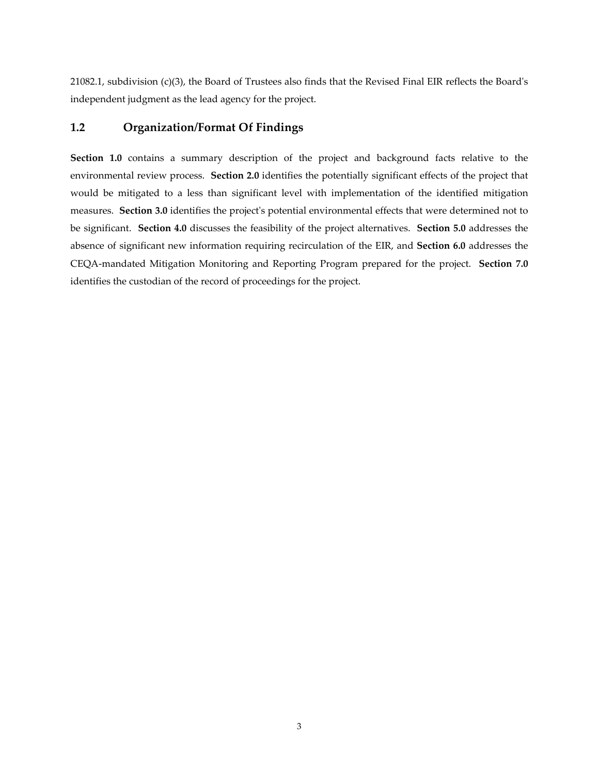21082.1, subdivision (c)(3), the Board of Trustees also finds that the Revised Final EIR reflects the Boardʹs independent judgment as the lead agency for the project.

# **1.2 Organization/Format Of Findings**

**Section 1.0** contains a summary description of the project and background facts relative to the environmental review process. **Section 2.0** identifies the potentially significant effects of the project that would be mitigated to a less than significant level with implementation of the identified mitigation measures. **Section 3.0** identifies the projectʹs potential environmental effects that were determined not to be significant. **Section 4.0** discusses the feasibility of the project alternatives. **Section 5.0** addresses the absence of significant new information requiring recirculation of the EIR, and **Section 6.0** addresses the CEQA‐mandated Mitigation Monitoring and Reporting Program prepared for the project. **Section 7.0** identifies the custodian of the record of proceedings for the project.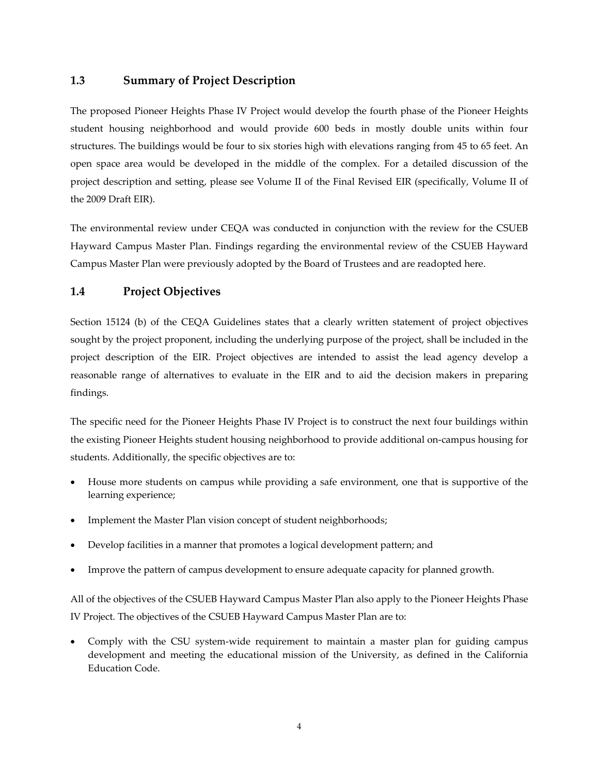# **1.3 Summary of Project Description**

The proposed Pioneer Heights Phase IV Project would develop the fourth phase of the Pioneer Heights student housing neighborhood and would provide 600 beds in mostly double units within four structures. The buildings would be four to six stories high with elevations ranging from 45 to 65 feet. An open space area would be developed in the middle of the complex. For a detailed discussion of the project description and setting, please see Volume II of the Final Revised EIR (specifically, Volume II of the 2009 Draft EIR).

The environmental review under CEQA was conducted in conjunction with the review for the CSUEB Hayward Campus Master Plan. Findings regarding the environmental review of the CSUEB Hayward Campus Master Plan were previously adopted by the Board of Trustees and are readopted here.

# **1.4 Project Objectives**

Section 15124 (b) of the CEQA Guidelines states that a clearly written statement of project objectives sought by the project proponent, including the underlying purpose of the project, shall be included in the project description of the EIR. Project objectives are intended to assist the lead agency develop a reasonable range of alternatives to evaluate in the EIR and to aid the decision makers in preparing findings.

The specific need for the Pioneer Heights Phase IV Project is to construct the next four buildings within the existing Pioneer Heights student housing neighborhood to provide additional on‐campus housing for students. Additionally, the specific objectives are to:

- House more students on campus while providing a safe environment, one that is supportive of the learning experience;
- Implement the Master Plan vision concept of student neighborhoods;
- Develop facilities in a manner that promotes a logical development pattern; and
- Improve the pattern of campus development to ensure adequate capacity for planned growth.

All of the objectives of the CSUEB Hayward Campus Master Plan also apply to the Pioneer Heights Phase IV Project. The objectives of the CSUEB Hayward Campus Master Plan are to:

Comply with the CSU system-wide requirement to maintain a master plan for guiding campus development and meeting the educational mission of the University, as defined in the California Education Code.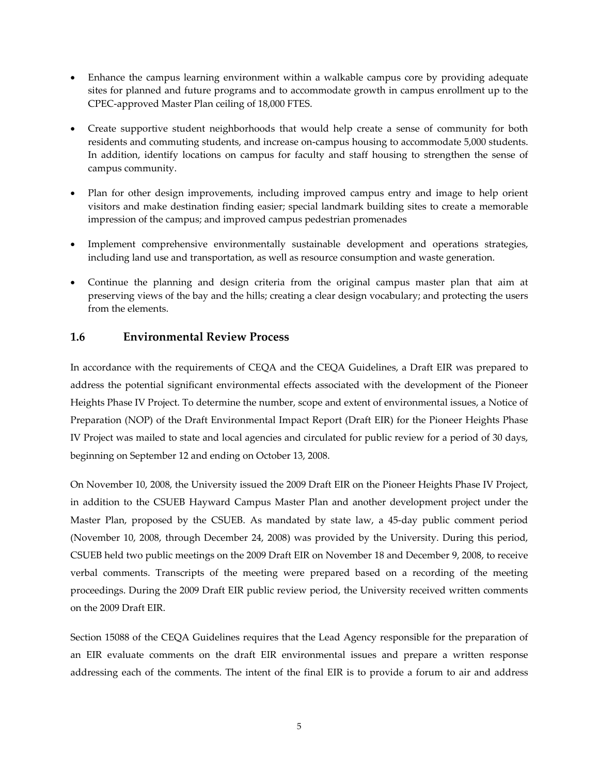- Enhance the campus learning environment within a walkable campus core by providing adequate sites for planned and future programs and to accommodate growth in campus enrollment up to the CPEC‐approved Master Plan ceiling of 18,000 FTES.
- Create supportive student neighborhoods that would help create a sense of community for both residents and commuting students, and increase on‐campus housing to accommodate 5,000 students. In addition, identify locations on campus for faculty and staff housing to strengthen the sense of campus community.
- Plan for other design improvements, including improved campus entry and image to help orient visitors and make destination finding easier; special landmark building sites to create a memorable impression of the campus; and improved campus pedestrian promenades
- Implement comprehensive environmentally sustainable development and operations strategies, including land use and transportation, as well as resource consumption and waste generation.
- Continue the planning and design criteria from the original campus master plan that aim at preserving views of the bay and the hills; creating a clear design vocabulary; and protecting the users from the elements.

# **1.6 Environmental Review Process**

In accordance with the requirements of CEQA and the CEQA Guidelines, a Draft EIR was prepared to address the potential significant environmental effects associated with the development of the Pioneer Heights Phase IV Project. To determine the number, scope and extent of environmental issues, a Notice of Preparation (NOP) of the Draft Environmental Impact Report (Draft EIR) for the Pioneer Heights Phase IV Project was mailed to state and local agencies and circulated for public review for a period of 30 days, beginning on September 12 and ending on October 13, 2008.

On November 10, 2008, the University issued the 2009 Draft EIR on the Pioneer Heights Phase IV Project, in addition to the CSUEB Hayward Campus Master Plan and another development project under the Master Plan, proposed by the CSUEB. As mandated by state law, a 45‐day public comment period (November 10, 2008, through December 24, 2008) was provided by the University. During this period, CSUEB held two public meetings on the 2009 Draft EIR on November 18 and December 9, 2008, to receive verbal comments. Transcripts of the meeting were prepared based on a recording of the meeting proceedings. During the 2009 Draft EIR public review period, the University received written comments on the 2009 Draft EIR.

Section 15088 of the CEQA Guidelines requires that the Lead Agency responsible for the preparation of an EIR evaluate comments on the draft EIR environmental issues and prepare a written response addressing each of the comments. The intent of the final EIR is to provide a forum to air and address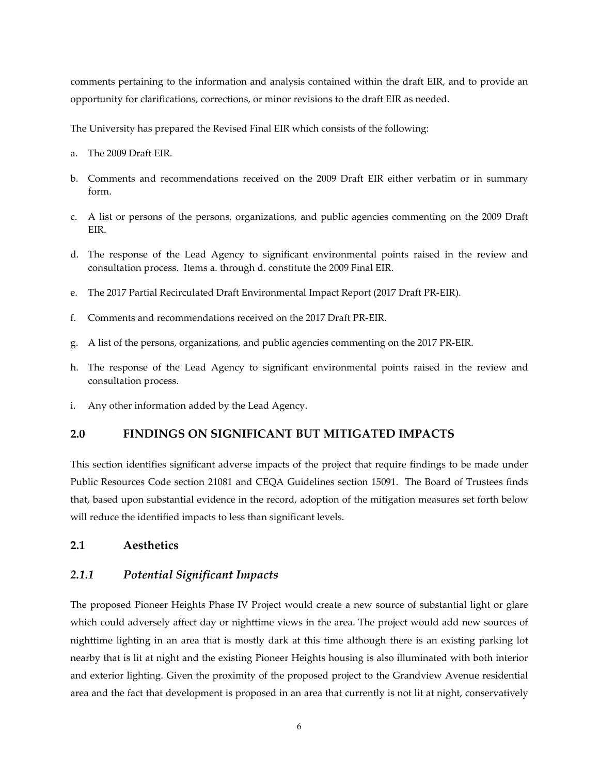comments pertaining to the information and analysis contained within the draft EIR, and to provide an opportunity for clarifications, corrections, or minor revisions to the draft EIR as needed.

The University has prepared the Revised Final EIR which consists of the following:

- a. The 2009 Draft EIR.
- b. Comments and recommendations received on the 2009 Draft EIR either verbatim or in summary form.
- c. A list or persons of the persons, organizations, and public agencies commenting on the 2009 Draft EIR.
- d. The response of the Lead Agency to significant environmental points raised in the review and consultation process. Items a. through d. constitute the 2009 Final EIR.
- e. The 2017 Partial Recirculated Draft Environmental Impact Report (2017 Draft PR‐EIR).
- f. Comments and recommendations received on the 2017 Draft PR‐EIR.
- g. A list of the persons, organizations, and public agencies commenting on the 2017 PR‐EIR.
- h. The response of the Lead Agency to significant environmental points raised in the review and consultation process.
- i. Any other information added by the Lead Agency.

#### **2.0 FINDINGS ON SIGNIFICANT BUT MITIGATED IMPACTS**

This section identifies significant adverse impacts of the project that require findings to be made under Public Resources Code section 21081 and CEQA Guidelines section 15091. The Board of Trustees finds that, based upon substantial evidence in the record, adoption of the mitigation measures set forth below will reduce the identified impacts to less than significant levels.

# **2.1 Aesthetics**

## *2.1.1 Potential Significant Impacts*

The proposed Pioneer Heights Phase IV Project would create a new source of substantial light or glare which could adversely affect day or nighttime views in the area. The project would add new sources of nighttime lighting in an area that is mostly dark at this time although there is an existing parking lot nearby that is lit at night and the existing Pioneer Heights housing is also illuminated with both interior and exterior lighting. Given the proximity of the proposed project to the Grandview Avenue residential area and the fact that development is proposed in an area that currently is not lit at night, conservatively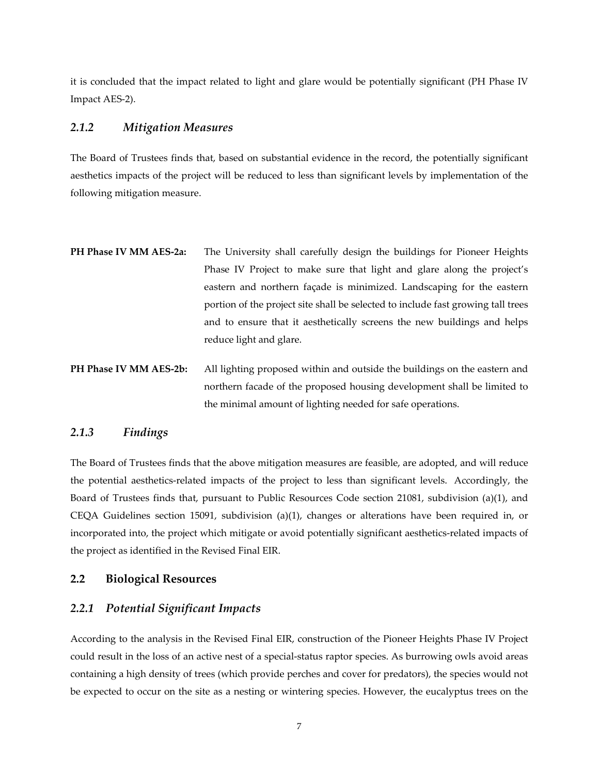it is concluded that the impact related to light and glare would be potentially significant (PH Phase IV Impact AES‐2).

#### *2.1.2 Mitigation Measures*

The Board of Trustees finds that, based on substantial evidence in the record, the potentially significant aesthetics impacts of the project will be reduced to less than significant levels by implementation of the following mitigation measure.

- **PH Phase IV MM AES‐2a:** The University shall carefully design the buildings for Pioneer Heights Phase IV Project to make sure that light and glare along the project's eastern and northern façade is minimized. Landscaping for the eastern portion of the project site shall be selected to include fast growing tall trees and to ensure that it aesthetically screens the new buildings and helps reduce light and glare.
- **PH Phase IV MM AES‐2b:** All lighting proposed within and outside the buildings on the eastern and northern facade of the proposed housing development shall be limited to the minimal amount of lighting needed for safe operations.

# *2.1.3 Findings*

The Board of Trustees finds that the above mitigation measures are feasible, are adopted, and will reduce the potential aesthetics-related impacts of the project to less than significant levels. Accordingly, the Board of Trustees finds that, pursuant to Public Resources Code section 21081, subdivision (a)(1), and CEQA Guidelines section 15091, subdivision (a)(1), changes or alterations have been required in, or incorporated into, the project which mitigate or avoid potentially significant aesthetics-related impacts of the project as identified in the Revised Final EIR.

## **2.2 Biological Resources**

#### *2.2.1 Potential Significant Impacts*

According to the analysis in the Revised Final EIR, construction of the Pioneer Heights Phase IV Project could result in the loss of an active nest of a special‐status raptor species. As burrowing owls avoid areas containing a high density of trees (which provide perches and cover for predators), the species would not be expected to occur on the site as a nesting or wintering species. However, the eucalyptus trees on the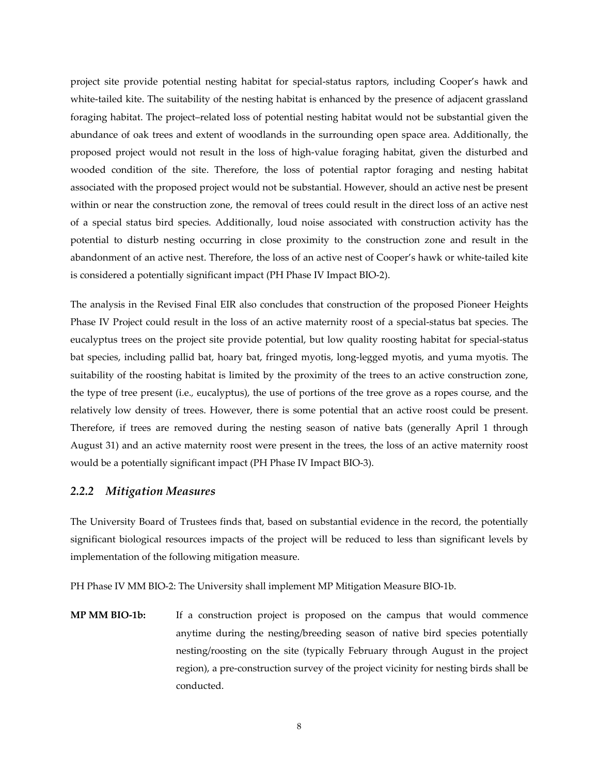project site provide potential nesting habitat for special‐status raptors, including Cooper's hawk and white-tailed kite. The suitability of the nesting habitat is enhanced by the presence of adjacent grassland foraging habitat. The project–related loss of potential nesting habitat would not be substantial given the abundance of oak trees and extent of woodlands in the surrounding open space area. Additionally, the proposed project would not result in the loss of high‐value foraging habitat, given the disturbed and wooded condition of the site. Therefore, the loss of potential raptor foraging and nesting habitat associated with the proposed project would not be substantial. However, should an active nest be present within or near the construction zone, the removal of trees could result in the direct loss of an active nest of a special status bird species. Additionally, loud noise associated with construction activity has the potential to disturb nesting occurring in close proximity to the construction zone and result in the abandonment of an active nest. Therefore, the loss of an active nest of Cooper's hawk or white-tailed kite is considered a potentially significant impact (PH Phase IV Impact BIO‐2).

The analysis in the Revised Final EIR also concludes that construction of the proposed Pioneer Heights Phase IV Project could result in the loss of an active maternity roost of a special-status bat species. The eucalyptus trees on the project site provide potential, but low quality roosting habitat for special‐status bat species, including pallid bat, hoary bat, fringed myotis, long‐legged myotis, and yuma myotis. The suitability of the roosting habitat is limited by the proximity of the trees to an active construction zone, the type of tree present (i.e.*,* eucalyptus), the use of portions of the tree grove as a ropes course, and the relatively low density of trees. However, there is some potential that an active roost could be present. Therefore, if trees are removed during the nesting season of native bats (generally April 1 through August 31) and an active maternity roost were present in the trees, the loss of an active maternity roost would be a potentially significant impact (PH Phase IV Impact BIO‐3).

# *2.2.2 Mitigation Measures*

The University Board of Trustees finds that, based on substantial evidence in the record, the potentially significant biological resources impacts of the project will be reduced to less than significant levels by implementation of the following mitigation measure.

PH Phase IV MM BIO‐2: The University shall implement MP Mitigation Measure BIO‐1b.

**MP MM BIO‐1b:** If a construction project is proposed on the campus that would commence anytime during the nesting/breeding season of native bird species potentially nesting/roosting on the site (typically February through August in the project region), a pre‐construction survey of the project vicinity for nesting birds shall be conducted.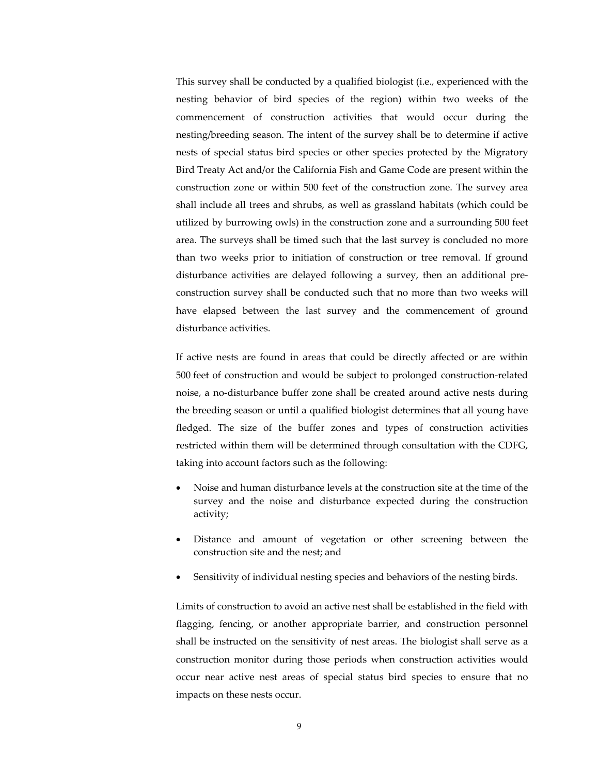This survey shall be conducted by a qualified biologist (i.e.*,* experienced with the nesting behavior of bird species of the region) within two weeks of the commencement of construction activities that would occur during the nesting/breeding season. The intent of the survey shall be to determine if active nests of special status bird species or other species protected by the Migratory Bird Treaty Act and/or the California Fish and Game Code are present within the construction zone or within 500 feet of the construction zone. The survey area shall include all trees and shrubs, as well as grassland habitats (which could be utilized by burrowing owls) in the construction zone and a surrounding 500 feet area. The surveys shall be timed such that the last survey is concluded no more than two weeks prior to initiation of construction or tree removal. If ground disturbance activities are delayed following a survey, then an additional pre‐ construction survey shall be conducted such that no more than two weeks will have elapsed between the last survey and the commencement of ground disturbance activities.

If active nests are found in areas that could be directly affected or are within 500 feet of construction and would be subject to prolonged construction‐related noise, a no‐disturbance buffer zone shall be created around active nests during the breeding season or until a qualified biologist determines that all young have fledged. The size of the buffer zones and types of construction activities restricted within them will be determined through consultation with the CDFG, taking into account factors such as the following:

- Noise and human disturbance levels at the construction site at the time of the survey and the noise and disturbance expected during the construction activity;
- Distance and amount of vegetation or other screening between the construction site and the nest; and
- Sensitivity of individual nesting species and behaviors of the nesting birds.

Limits of construction to avoid an active nest shall be established in the field with flagging, fencing, or another appropriate barrier, and construction personnel shall be instructed on the sensitivity of nest areas. The biologist shall serve as a construction monitor during those periods when construction activities would occur near active nest areas of special status bird species to ensure that no impacts on these nests occur.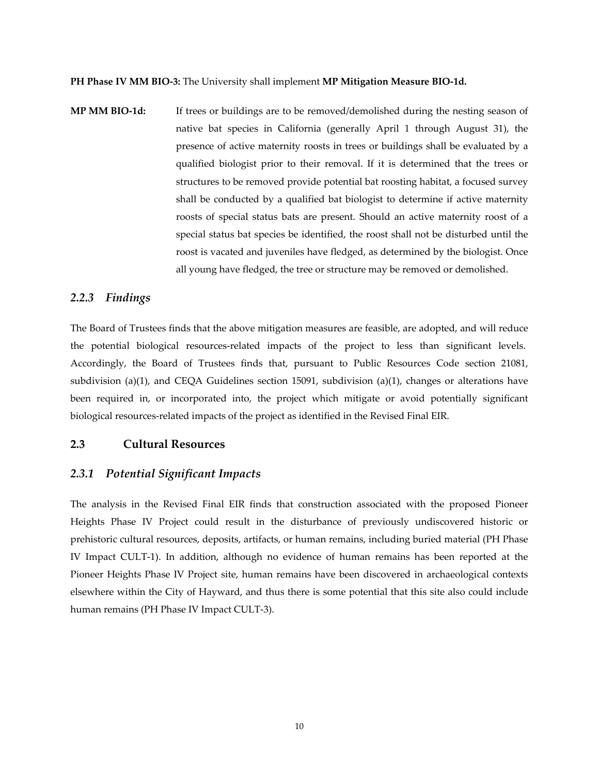**PH Phase IV MM BIO‐3:** The University shall implement **MP Mitigation Measure BIO‐1d.**

**MP MM BIO‐1d:** If trees or buildings are to be removed/demolished during the nesting season of native bat species in California (generally April 1 through August 31), the presence of active maternity roosts in trees or buildings shall be evaluated by a qualified biologist prior to their removal. If it is determined that the trees or structures to be removed provide potential bat roosting habitat, a focused survey shall be conducted by a qualified bat biologist to determine if active maternity roosts of special status bats are present. Should an active maternity roost of a special status bat species be identified, the roost shall not be disturbed until the roost is vacated and juveniles have fledged, as determined by the biologist. Once all young have fledged, the tree or structure may be removed or demolished.

#### *2.2.3 Findings*

The Board of Trustees finds that the above mitigation measures are feasible, are adopted, and will reduce the potential biological resources‐related impacts of the project to less than significant levels. Accordingly, the Board of Trustees finds that, pursuant to Public Resources Code section 21081, subdivision (a)(1), and CEQA Guidelines section 15091, subdivision (a)(1), changes or alterations have been required in, or incorporated into, the project which mitigate or avoid potentially significant biological resources‐related impacts of the project as identified in the Revised Final EIR.

## **2.3 Cultural Resources**

#### *2.3.1 Potential Significant Impacts*

The analysis in the Revised Final EIR finds that construction associated with the proposed Pioneer Heights Phase IV Project could result in the disturbance of previously undiscovered historic or prehistoric cultural resources, deposits, artifacts, or human remains, including buried material (PH Phase IV Impact CULT‐1). In addition, although no evidence of human remains has been reported at the Pioneer Heights Phase IV Project site, human remains have been discovered in archaeological contexts elsewhere within the City of Hayward, and thus there is some potential that this site also could include human remains (PH Phase IV Impact CULT‐3).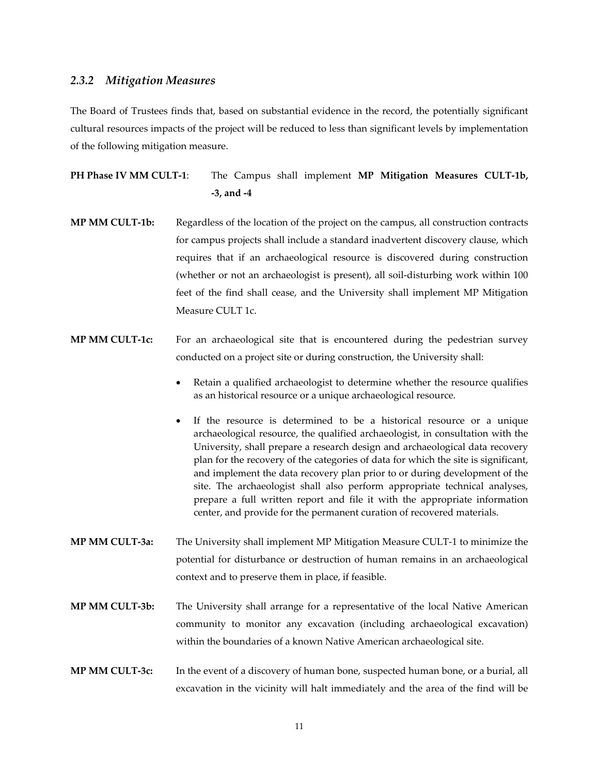#### *2.3.2 Mitigation Measures*

The Board of Trustees finds that, based on substantial evidence in the record, the potentially significant cultural resources impacts of the project will be reduced to less than significant levels by implementation of the following mitigation measure.

**PH Phase IV MM CULT‐1**: The Campus shall implement **MP Mitigation Measures CULT‐1b, ‐3, and ‐4**

- **MP MM CULT‐1b:** Regardless of the location of the project on the campus, all construction contracts for campus projects shall include a standard inadvertent discovery clause, which requires that if an archaeological resource is discovered during construction (whether or not an archaeologist is present), all soil‐disturbing work within 100 feet of the find shall cease, and the University shall implement MP Mitigation Measure CULT 1c.
- **MP MM CULT‐1c:** For an archaeological site that is encountered during the pedestrian survey conducted on a project site or during construction, the University shall:
	- Retain a qualified archaeologist to determine whether the resource qualifies as an historical resource or a unique archaeological resource.
	- If the resource is determined to be a historical resource or a unique archaeological resource, the qualified archaeologist, in consultation with the University, shall prepare a research design and archaeological data recovery plan for the recovery of the categories of data for which the site is significant, and implement the data recovery plan prior to or during development of the site. The archaeologist shall also perform appropriate technical analyses, prepare a full written report and file it with the appropriate information center, and provide for the permanent curation of recovered materials.
- **MP MM CULT‐3a:** The University shall implement MP Mitigation Measure CULT‐1 to minimize the potential for disturbance or destruction of human remains in an archaeological context and to preserve them in place, if feasible.
- **MP MM CULT‐3b:** The University shall arrange for a representative of the local Native American community to monitor any excavation (including archaeological excavation) within the boundaries of a known Native American archaeological site.
- **MP MM CULT‐3c:** In the event of a discovery of human bone, suspected human bone, or a burial, all excavation in the vicinity will halt immediately and the area of the find will be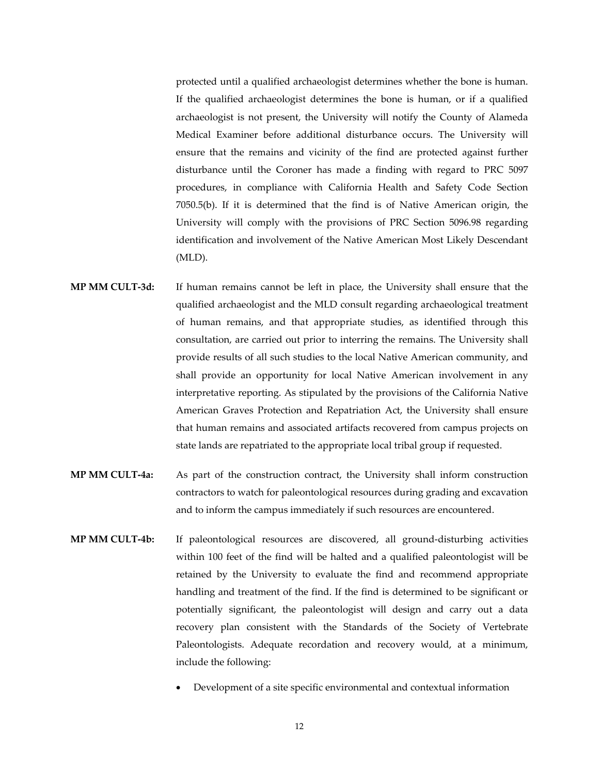protected until a qualified archaeologist determines whether the bone is human. If the qualified archaeologist determines the bone is human, or if a qualified archaeologist is not present, the University will notify the County of Alameda Medical Examiner before additional disturbance occurs. The University will ensure that the remains and vicinity of the find are protected against further disturbance until the Coroner has made a finding with regard to PRC 5097 procedures, in compliance with California Health and Safety Code Section 7050.5(b). If it is determined that the find is of Native American origin, the University will comply with the provisions of PRC Section 5096.98 regarding identification and involvement of the Native American Most Likely Descendant (MLD).

- **MP MM CULT‐3d:** If human remains cannot be left in place, the University shall ensure that the qualified archaeologist and the MLD consult regarding archaeological treatment of human remains, and that appropriate studies, as identified through this consultation, are carried out prior to interring the remains. The University shall provide results of all such studies to the local Native American community, and shall provide an opportunity for local Native American involvement in any interpretative reporting. As stipulated by the provisions of the California Native American Graves Protection and Repatriation Act, the University shall ensure that human remains and associated artifacts recovered from campus projects on state lands are repatriated to the appropriate local tribal group if requested.
- **MP MM CULT‐4a:** As part of the construction contract, the University shall inform construction contractors to watch for paleontological resources during grading and excavation and to inform the campus immediately if such resources are encountered.
- **MP MM CULT‐4b:** If paleontological resources are discovered, all ground‐disturbing activities within 100 feet of the find will be halted and a qualified paleontologist will be retained by the University to evaluate the find and recommend appropriate handling and treatment of the find. If the find is determined to be significant or potentially significant, the paleontologist will design and carry out a data recovery plan consistent with the Standards of the Society of Vertebrate Paleontologists. Adequate recordation and recovery would, at a minimum, include the following:
	- Development of a site specific environmental and contextual information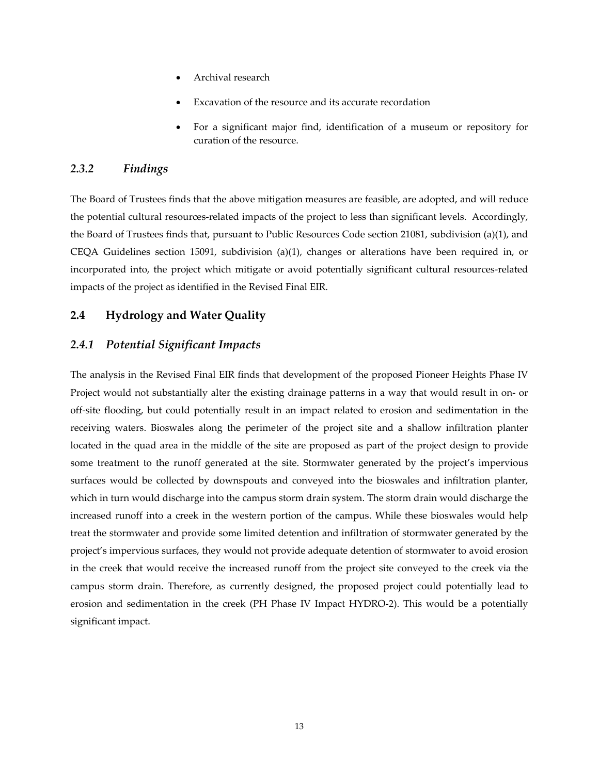- Archival research
- Excavation of the resource and its accurate recordation
- For a significant major find, identification of a museum or repository for curation of the resource.

# *2.3.2 Findings*

The Board of Trustees finds that the above mitigation measures are feasible, are adopted, and will reduce the potential cultural resources‐related impacts of the project to less than significant levels. Accordingly, the Board of Trustees finds that, pursuant to Public Resources Code section 21081, subdivision (a)(1), and CEQA Guidelines section 15091, subdivision (a)(1), changes or alterations have been required in, or incorporated into, the project which mitigate or avoid potentially significant cultural resources-related impacts of the project as identified in the Revised Final EIR.

# **2.4 Hydrology and Water Quality**

# *2.4.1 Potential Significant Impacts*

The analysis in the Revised Final EIR finds that development of the proposed Pioneer Heights Phase IV Project would not substantially alter the existing drainage patterns in a way that would result in on‐ or off‐site flooding, but could potentially result in an impact related to erosion and sedimentation in the receiving waters. Bioswales along the perimeter of the project site and a shallow infiltration planter located in the quad area in the middle of the site are proposed as part of the project design to provide some treatment to the runoff generated at the site. Stormwater generated by the project's impervious surfaces would be collected by downspouts and conveyed into the bioswales and infiltration planter, which in turn would discharge into the campus storm drain system. The storm drain would discharge the increased runoff into a creek in the western portion of the campus. While these bioswales would help treat the stormwater and provide some limited detention and infiltration of stormwater generated by the project's impervious surfaces, they would not provide adequate detention of stormwater to avoid erosion in the creek that would receive the increased runoff from the project site conveyed to the creek via the campus storm drain. Therefore, as currently designed, the proposed project could potentially lead to erosion and sedimentation in the creek (PH Phase IV Impact HYDRO‐2). This would be a potentially significant impact.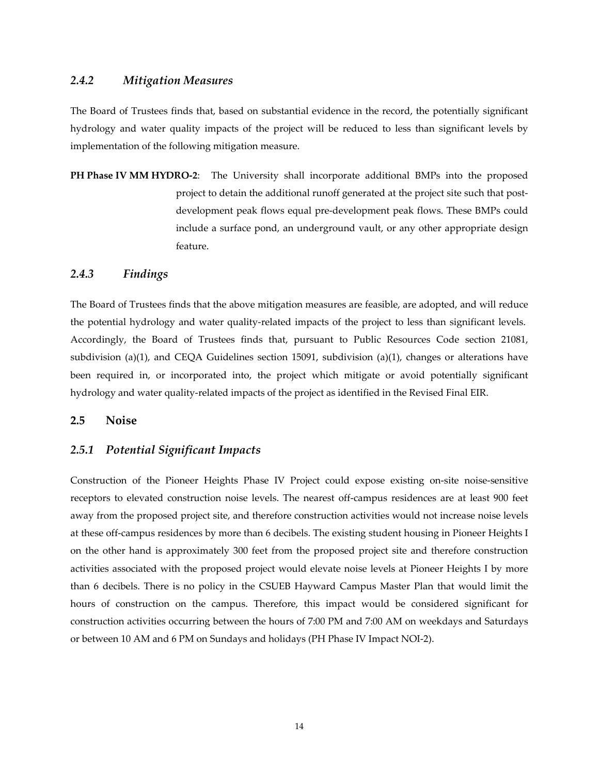## *2.4.2 Mitigation Measures*

The Board of Trustees finds that, based on substantial evidence in the record, the potentially significant hydrology and water quality impacts of the project will be reduced to less than significant levels by implementation of the following mitigation measure.

**PH Phase IV MM HYDRO‐2**: The University shall incorporate additional BMPs into the proposed project to detain the additional runoff generated at the project site such that postdevelopment peak flows equal pre‐development peak flows. These BMPs could include a surface pond, an underground vault, or any other appropriate design feature.

#### *2.4.3 Findings*

The Board of Trustees finds that the above mitigation measures are feasible, are adopted, and will reduce the potential hydrology and water quality-related impacts of the project to less than significant levels. Accordingly, the Board of Trustees finds that, pursuant to Public Resources Code section 21081, subdivision (a)(1), and CEQA Guidelines section 15091, subdivision (a)(1), changes or alterations have been required in, or incorporated into, the project which mitigate or avoid potentially significant hydrology and water quality-related impacts of the project as identified in the Revised Final EIR.

#### **2.5 Noise**

#### *2.5.1 Potential Significant Impacts*

Construction of the Pioneer Heights Phase IV Project could expose existing on-site noise-sensitive receptors to elevated construction noise levels. The nearest off‐campus residences are at least 900 feet away from the proposed project site, and therefore construction activities would not increase noise levels at these off-campus residences by more than 6 decibels. The existing student housing in Pioneer Heights I on the other hand is approximately 300 feet from the proposed project site and therefore construction activities associated with the proposed project would elevate noise levels at Pioneer Heights I by more than 6 decibels. There is no policy in the CSUEB Hayward Campus Master Plan that would limit the hours of construction on the campus. Therefore, this impact would be considered significant for construction activities occurring between the hours of 7:00 PM and 7:00 AM on weekdays and Saturdays or between 10 AM and 6 PM on Sundays and holidays (PH Phase IV Impact NOI‐2).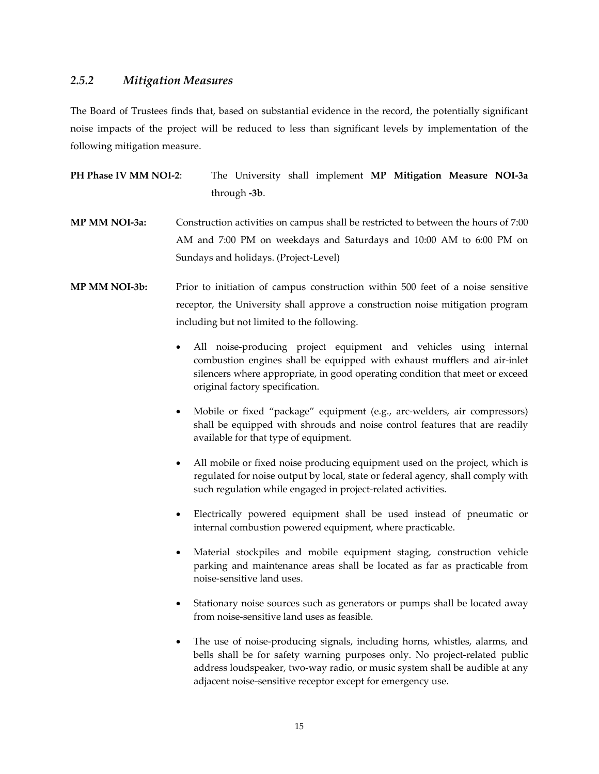## *2.5.2 Mitigation Measures*

The Board of Trustees finds that, based on substantial evidence in the record, the potentially significant noise impacts of the project will be reduced to less than significant levels by implementation of the following mitigation measure.

**PH Phase IV MM NOI‐2**: The University shall implement **MP Mitigation Measure NOI‐3a** through **‐3b**.

- **MP MM NOI‐3a:** Construction activities on campus shall be restricted to between the hours of 7:00 AM and 7:00 PM on weekdays and Saturdays and 10:00 AM to 6:00 PM on Sundays and holidays. (Project‐Level)
- **MP MM NOI‐3b:** Prior to initiation of campus construction within 500 feet of a noise sensitive receptor, the University shall approve a construction noise mitigation program including but not limited to the following.
	- All noise‐producing project equipment and vehicles using internal combustion engines shall be equipped with exhaust mufflers and air‐inlet silencers where appropriate, in good operating condition that meet or exceed original factory specification.
	- Mobile or fixed "package" equipment (e.g., arc‐welders, air compressors) shall be equipped with shrouds and noise control features that are readily available for that type of equipment.
	- All mobile or fixed noise producing equipment used on the project, which is regulated for noise output by local, state or federal agency, shall comply with such regulation while engaged in project-related activities.
	- Electrically powered equipment shall be used instead of pneumatic or internal combustion powered equipment, where practicable.
	- Material stockpiles and mobile equipment staging, construction vehicle parking and maintenance areas shall be located as far as practicable from noise‐sensitive land uses.
	- Stationary noise sources such as generators or pumps shall be located away from noise‐sensitive land uses as feasible.
	- The use of noise-producing signals, including horns, whistles, alarms, and bells shall be for safety warning purposes only. No project-related public address loudspeaker, two‐way radio, or music system shall be audible at any adjacent noise‐sensitive receptor except for emergency use.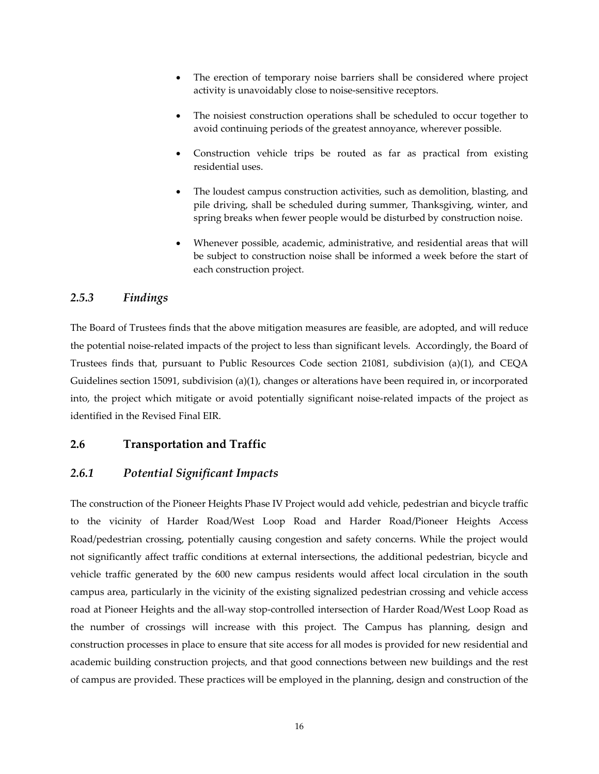- The erection of temporary noise barriers shall be considered where project activity is unavoidably close to noise‐sensitive receptors.
- The noisiest construction operations shall be scheduled to occur together to avoid continuing periods of the greatest annoyance, wherever possible.
- Construction vehicle trips be routed as far as practical from existing residential uses.
- The loudest campus construction activities, such as demolition, blasting, and pile driving, shall be scheduled during summer, Thanksgiving, winter, and spring breaks when fewer people would be disturbed by construction noise.
- Whenever possible, academic, administrative, and residential areas that will be subject to construction noise shall be informed a week before the start of each construction project.

# *2.5.3 Findings*

The Board of Trustees finds that the above mitigation measures are feasible, are adopted, and will reduce the potential noise‐related impacts of the project to less than significant levels. Accordingly, the Board of Trustees finds that, pursuant to Public Resources Code section 21081, subdivision (a)(1), and CEQA Guidelines section 15091, subdivision (a)(1), changes or alterations have been required in, or incorporated into, the project which mitigate or avoid potentially significant noise-related impacts of the project as identified in the Revised Final EIR.

## **2.6 Transportation and Traffic**

# *2.6.1 Potential Significant Impacts*

The construction of the Pioneer Heights Phase IV Project would add vehicle, pedestrian and bicycle traffic to the vicinity of Harder Road/West Loop Road and Harder Road/Pioneer Heights Access Road/pedestrian crossing, potentially causing congestion and safety concerns. While the project would not significantly affect traffic conditions at external intersections, the additional pedestrian, bicycle and vehicle traffic generated by the 600 new campus residents would affect local circulation in the south campus area, particularly in the vicinity of the existing signalized pedestrian crossing and vehicle access road at Pioneer Heights and the all‐way stop‐controlled intersection of Harder Road/West Loop Road as the number of crossings will increase with this project. The Campus has planning, design and construction processes in place to ensure that site access for all modes is provided for new residential and academic building construction projects, and that good connections between new buildings and the rest of campus are provided. These practices will be employed in the planning, design and construction of the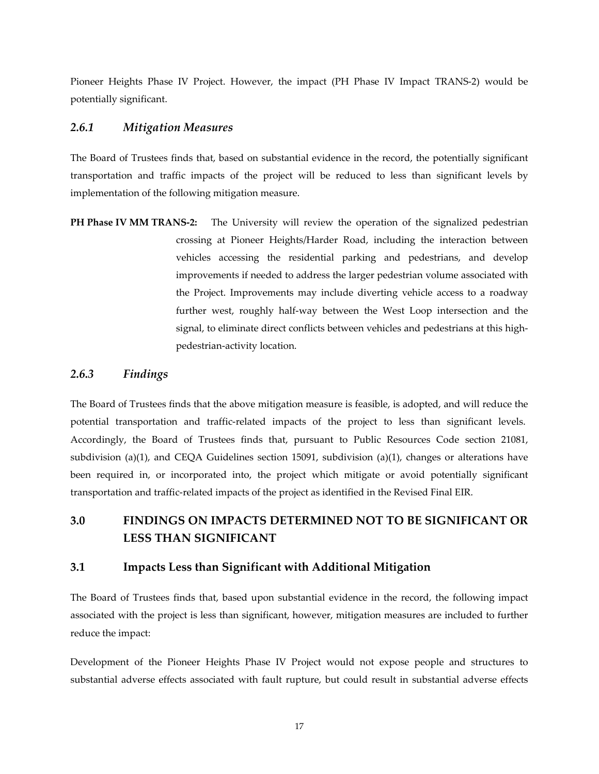Pioneer Heights Phase IV Project. However, the impact (PH Phase IV Impact TRANS‐2) would be potentially significant.

## *2.6.1 Mitigation Measures*

The Board of Trustees finds that, based on substantial evidence in the record, the potentially significant transportation and traffic impacts of the project will be reduced to less than significant levels by implementation of the following mitigation measure.

**PH Phase IV MM TRANS‐2:**  The University will review the operation of the signalized pedestrian crossing at Pioneer Heights/Harder Road, including the interaction between vehicles accessing the residential parking and pedestrians, and develop improvements if needed to address the larger pedestrian volume associated with the Project. Improvements may include diverting vehicle access to a roadway further west, roughly half‐way between the West Loop intersection and the signal, to eliminate direct conflicts between vehicles and pedestrians at this highpedestrian‐activity location.

## *2.6.3 Findings*

The Board of Trustees finds that the above mitigation measure is feasible, is adopted, and will reduce the potential transportation and traffic‐related impacts of the project to less than significant levels. Accordingly, the Board of Trustees finds that, pursuant to Public Resources Code section 21081, subdivision (a)(1), and CEQA Guidelines section 15091, subdivision (a)(1), changes or alterations have been required in, or incorporated into, the project which mitigate or avoid potentially significant transportation and traffic‐related impacts of the project as identified in the Revised Final EIR.

# **3.0 FINDINGS ON IMPACTS DETERMINED NOT TO BE SIGNIFICANT OR LESS THAN SIGNIFICANT**

# **3.1 Impacts Less than Significant with Additional Mitigation**

The Board of Trustees finds that, based upon substantial evidence in the record, the following impact associated with the project is less than significant, however, mitigation measures are included to further reduce the impact:

Development of the Pioneer Heights Phase IV Project would not expose people and structures to substantial adverse effects associated with fault rupture, but could result in substantial adverse effects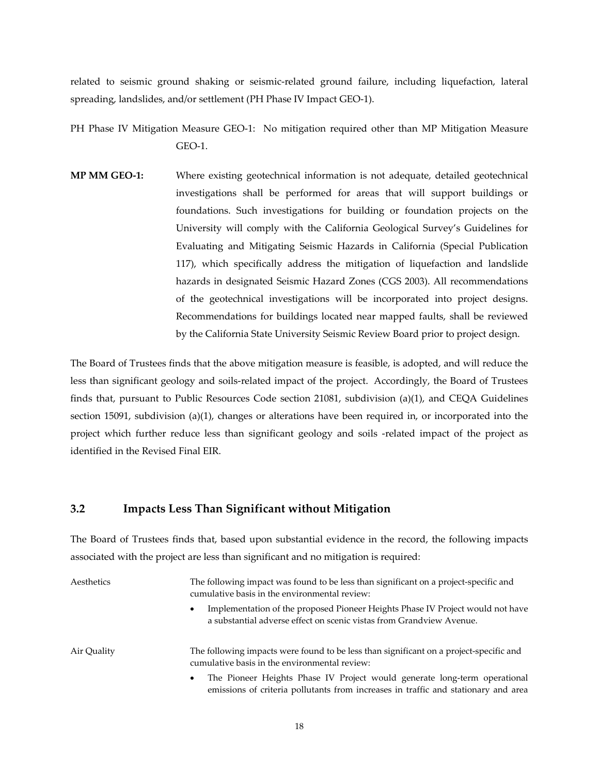related to seismic ground shaking or seismic‐related ground failure, including liquefaction, lateral spreading, landslides, and/or settlement (PH Phase IV Impact GEO-1).

PH Phase IV Mitigation Measure GEO-1: No mitigation required other than MP Mitigation Measure GEO‐1.

**MP MM GEO‐1:** Where existing geotechnical information is not adequate, detailed geotechnical investigations shall be performed for areas that will support buildings or foundations. Such investigations for building or foundation projects on the University will comply with the California Geological Survey's Guidelines for Evaluating and Mitigating Seismic Hazards in California (Special Publication 117), which specifically address the mitigation of liquefaction and landslide hazards in designated Seismic Hazard Zones (CGS 2003). All recommendations of the geotechnical investigations will be incorporated into project designs. Recommendations for buildings located near mapped faults, shall be reviewed by the California State University Seismic Review Board prior to project design.

The Board of Trustees finds that the above mitigation measure is feasible, is adopted, and will reduce the less than significant geology and soils‐related impact of the project. Accordingly, the Board of Trustees finds that, pursuant to Public Resources Code section 21081, subdivision (a)(1), and CEQA Guidelines section 15091, subdivision (a)(1), changes or alterations have been required in, or incorporated into the project which further reduce less than significant geology and soils ‐related impact of the project as identified in the Revised Final EIR.

#### **3.2 Impacts Less Than Significant without Mitigation**

The Board of Trustees finds that, based upon substantial evidence in the record, the following impacts associated with the project are less than significant and no mitigation is required:

| Aesthetics  | The following impact was found to be less than significant on a project-specific and<br>cumulative basis in the environmental review:                                        |
|-------------|------------------------------------------------------------------------------------------------------------------------------------------------------------------------------|
|             | Implementation of the proposed Pioneer Heights Phase IV Project would not have<br>$\bullet$<br>a substantial adverse effect on scenic vistas from Grandview Avenue.          |
| Air Quality | The following impacts were found to be less than significant on a project-specific and<br>cumulative basis in the environmental review:                                      |
|             | The Pioneer Heights Phase IV Project would generate long-term operational<br>$\bullet$<br>emissions of criteria pollutants from increases in traffic and stationary and area |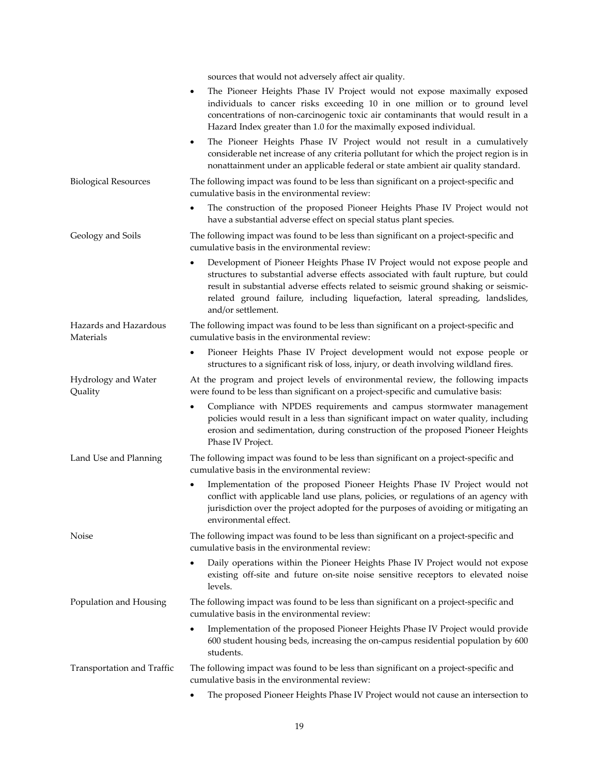|                                    | sources that would not adversely affect air quality.                                                                                                                                                                                                                                                                                                                  |
|------------------------------------|-----------------------------------------------------------------------------------------------------------------------------------------------------------------------------------------------------------------------------------------------------------------------------------------------------------------------------------------------------------------------|
|                                    | The Pioneer Heights Phase IV Project would not expose maximally exposed<br>٠<br>individuals to cancer risks exceeding 10 in one million or to ground level<br>concentrations of non-carcinogenic toxic air contaminants that would result in a<br>Hazard Index greater than 1.0 for the maximally exposed individual.                                                 |
|                                    | The Pioneer Heights Phase IV Project would not result in a cumulatively<br>$\bullet$<br>considerable net increase of any criteria pollutant for which the project region is in<br>nonattainment under an applicable federal or state ambient air quality standard.                                                                                                    |
| <b>Biological Resources</b>        | The following impact was found to be less than significant on a project-specific and<br>cumulative basis in the environmental review:                                                                                                                                                                                                                                 |
|                                    | The construction of the proposed Pioneer Heights Phase IV Project would not<br>٠<br>have a substantial adverse effect on special status plant species.                                                                                                                                                                                                                |
| Geology and Soils                  | The following impact was found to be less than significant on a project-specific and<br>cumulative basis in the environmental review:                                                                                                                                                                                                                                 |
|                                    | Development of Pioneer Heights Phase IV Project would not expose people and<br>٠<br>structures to substantial adverse effects associated with fault rupture, but could<br>result in substantial adverse effects related to seismic ground shaking or seismic-<br>related ground failure, including liquefaction, lateral spreading, landslides,<br>and/or settlement. |
| Hazards and Hazardous<br>Materials | The following impact was found to be less than significant on a project-specific and<br>cumulative basis in the environmental review:                                                                                                                                                                                                                                 |
|                                    | Pioneer Heights Phase IV Project development would not expose people or<br>٠<br>structures to a significant risk of loss, injury, or death involving wildland fires.                                                                                                                                                                                                  |
| Hydrology and Water<br>Quality     | At the program and project levels of environmental review, the following impacts<br>were found to be less than significant on a project-specific and cumulative basis:                                                                                                                                                                                                |
|                                    | Compliance with NPDES requirements and campus stormwater management<br>$\bullet$<br>policies would result in a less than significant impact on water quality, including<br>erosion and sedimentation, during construction of the proposed Pioneer Heights<br>Phase IV Project.                                                                                        |
| Land Use and Planning              | The following impact was found to be less than significant on a project-specific and<br>cumulative basis in the environmental review:                                                                                                                                                                                                                                 |
|                                    | Implementation of the proposed Pioneer Heights Phase IV Project would not<br>٠<br>conflict with applicable land use plans, policies, or regulations of an agency with<br>jurisdiction over the project adopted for the purposes of avoiding or mitigating an<br>environmental effect.                                                                                 |
| Noise                              | The following impact was found to be less than significant on a project-specific and<br>cumulative basis in the environmental review:                                                                                                                                                                                                                                 |
|                                    | Daily operations within the Pioneer Heights Phase IV Project would not expose<br>existing off-site and future on-site noise sensitive receptors to elevated noise<br>levels.                                                                                                                                                                                          |
| Population and Housing             | The following impact was found to be less than significant on a project-specific and<br>cumulative basis in the environmental review:                                                                                                                                                                                                                                 |
|                                    | Implementation of the proposed Pioneer Heights Phase IV Project would provide<br>$\bullet$<br>600 student housing beds, increasing the on-campus residential population by 600<br>students.                                                                                                                                                                           |
| Transportation and Traffic         | The following impact was found to be less than significant on a project-specific and<br>cumulative basis in the environmental review:                                                                                                                                                                                                                                 |
|                                    | The proposed Pioneer Heights Phase IV Project would not cause an intersection to<br>٠                                                                                                                                                                                                                                                                                 |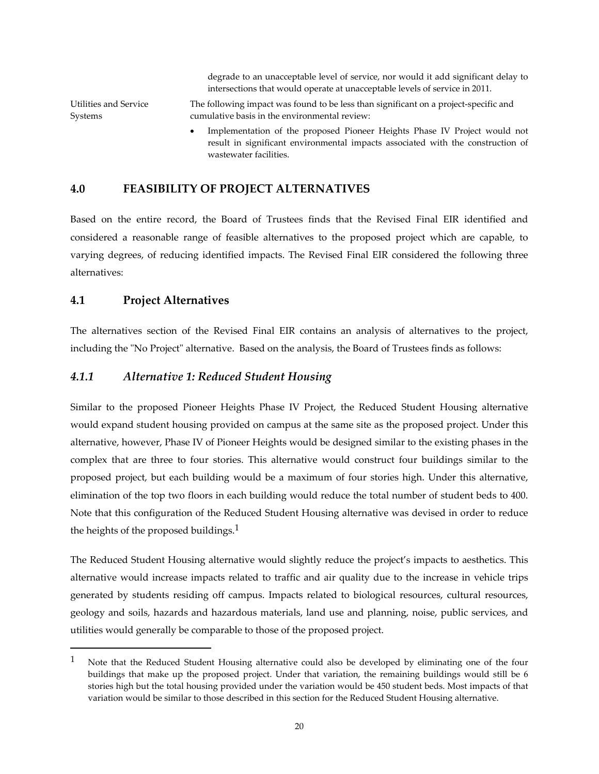degrade to an unacceptable level of service, nor would it add significant delay to intersections that would operate at unacceptable levels of service in 2011.

Utilities and Service Systems The following impact was found to be less than significant on a project‐specific and cumulative basis in the environmental review:

 Implementation of the proposed Pioneer Heights Phase IV Project would not result in significant environmental impacts associated with the construction of wastewater facilities.

# **4.0 FEASIBILITY OF PROJECT ALTERNATIVES**

Based on the entire record, the Board of Trustees finds that the Revised Final EIR identified and considered a reasonable range of feasible alternatives to the proposed project which are capable, to varying degrees, of reducing identified impacts. The Revised Final EIR considered the following three alternatives:

# **4.1 Project Alternatives**

The alternatives section of the Revised Final EIR contains an analysis of alternatives to the project, including the "No Project" alternative. Based on the analysis, the Board of Trustees finds as follows:

# *4.1.1 Alternative 1: Reduced Student Housing*

Similar to the proposed Pioneer Heights Phase IV Project, the Reduced Student Housing alternative would expand student housing provided on campus at the same site as the proposed project. Under this alternative, however, Phase IV of Pioneer Heights would be designed similar to the existing phases in the complex that are three to four stories. This alternative would construct four buildings similar to the proposed project, but each building would be a maximum of four stories high. Under this alternative, elimination of the top two floors in each building would reduce the total number of student beds to 400. Note that this configuration of the Reduced Student Housing alternative was devised in order to reduce the heights of the proposed buildings.<sup>1</sup>

The Reduced Student Housing alternative would slightly reduce the project's impacts to aesthetics. This alternative would increase impacts related to traffic and air quality due to the increase in vehicle trips generated by students residing off campus. Impacts related to biological resources, cultural resources, geology and soils, hazards and hazardous materials, land use and planning, noise, public services, and utilities would generally be comparable to those of the proposed project.

<sup>1</sup> Note that the Reduced Student Housing alternative could also be developed by eliminating one of the four buildings that make up the proposed project. Under that variation, the remaining buildings would still be 6 stories high but the total housing provided under the variation would be 450 student beds. Most impacts of that variation would be similar to those described in this section for the Reduced Student Housing alternative.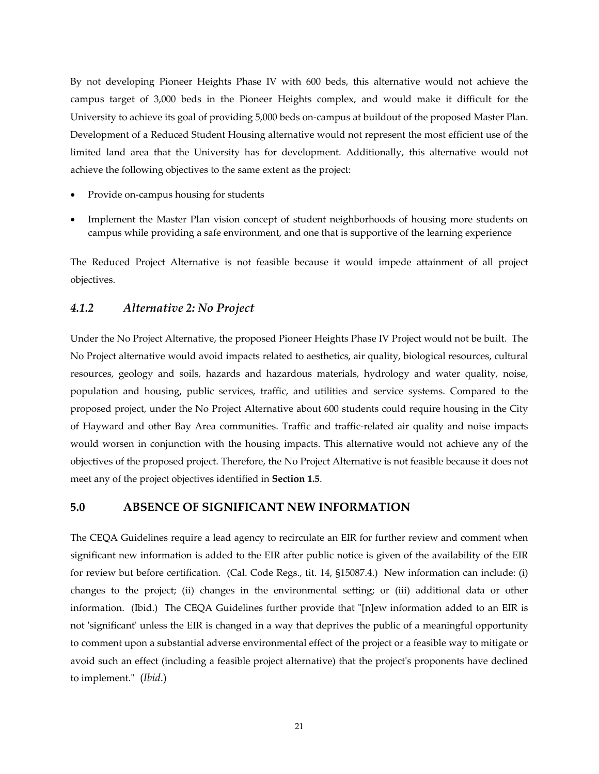By not developing Pioneer Heights Phase IV with 600 beds, this alternative would not achieve the campus target of 3,000 beds in the Pioneer Heights complex, and would make it difficult for the University to achieve its goal of providing 5,000 beds on‐campus at buildout of the proposed Master Plan. Development of a Reduced Student Housing alternative would not represent the most efficient use of the limited land area that the University has for development. Additionally, this alternative would not achieve the following objectives to the same extent as the project:

- Provide on‐campus housing for students
- Implement the Master Plan vision concept of student neighborhoods of housing more students on campus while providing a safe environment, and one that is supportive of the learning experience

The Reduced Project Alternative is not feasible because it would impede attainment of all project objectives.

# *4.1.2 Alternative 2: No Project*

Under the No Project Alternative, the proposed Pioneer Heights Phase IV Project would not be built. The No Project alternative would avoid impacts related to aesthetics, air quality, biological resources, cultural resources, geology and soils, hazards and hazardous materials, hydrology and water quality, noise, population and housing, public services, traffic, and utilities and service systems. Compared to the proposed project, under the No Project Alternative about 600 students could require housing in the City of Hayward and other Bay Area communities. Traffic and traffic‐related air quality and noise impacts would worsen in conjunction with the housing impacts. This alternative would not achieve any of the objectives of the proposed project. Therefore, the No Project Alternative is not feasible because it does not meet any of the project objectives identified in **Section 1.5**.

# **5.0 ABSENCE OF SIGNIFICANT NEW INFORMATION**

The CEQA Guidelines require a lead agency to recirculate an EIR for further review and comment when significant new information is added to the EIR after public notice is given of the availability of the EIR for review but before certification. (Cal. Code Regs., tit. 14, §15087.4.) New information can include: (i) changes to the project; (ii) changes in the environmental setting; or (iii) additional data or other information. (Ibid.) The CEQA Guidelines further provide that "[n]ew information added to an EIR is not 'significant' unless the EIR is changed in a way that deprives the public of a meaningful opportunity to comment upon a substantial adverse environmental effect of the project or a feasible way to mitigate or avoid such an effect (including a feasible project alternative) that the project's proponents have declined to implement.ʺ (*Ibid*.)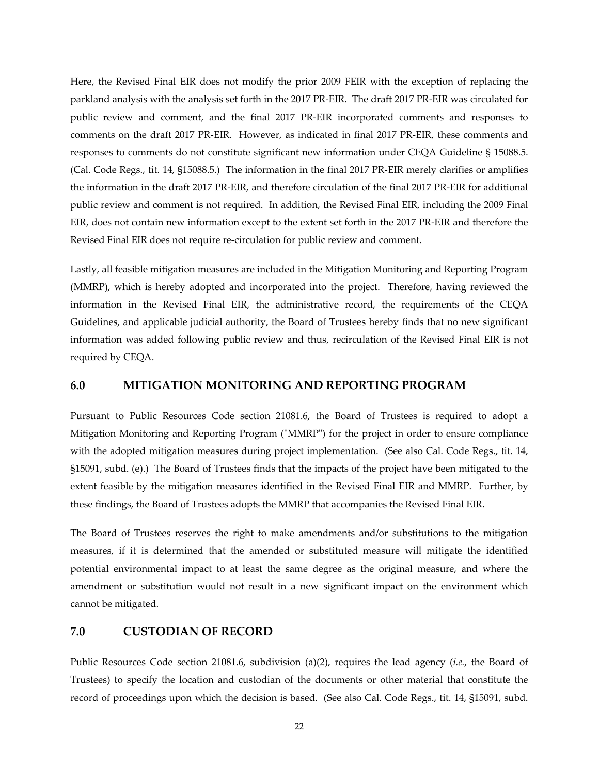Here, the Revised Final EIR does not modify the prior 2009 FEIR with the exception of replacing the parkland analysis with the analysis set forth in the 2017 PR‐EIR. The draft 2017 PR‐EIR was circulated for public review and comment, and the final 2017 PR‐EIR incorporated comments and responses to comments on the draft 2017 PR‐EIR. However, as indicated in final 2017 PR‐EIR, these comments and responses to comments do not constitute significant new information under CEQA Guideline § 15088.5. (Cal. Code Regs., tit. 14, §15088.5.) The information in the final 2017 PR‐EIR merely clarifies or amplifies the information in the draft 2017 PR‐EIR, and therefore circulation of the final 2017 PR‐EIR for additional public review and comment is not required. In addition, the Revised Final EIR, including the 2009 Final EIR, does not contain new information except to the extent set forth in the 2017 PR‐EIR and therefore the Revised Final EIR does not require re‐circulation for public review and comment.

Lastly, all feasible mitigation measures are included in the Mitigation Monitoring and Reporting Program (MMRP), which is hereby adopted and incorporated into the project. Therefore, having reviewed the information in the Revised Final EIR, the administrative record, the requirements of the CEQA Guidelines, and applicable judicial authority, the Board of Trustees hereby finds that no new significant information was added following public review and thus, recirculation of the Revised Final EIR is not required by CEQA.

#### **6.0 MITIGATION MONITORING AND REPORTING PROGRAM**

Pursuant to Public Resources Code section 21081.6, the Board of Trustees is required to adopt a Mitigation Monitoring and Reporting Program ("MMRP") for the project in order to ensure compliance with the adopted mitigation measures during project implementation. (See also Cal. Code Regs., tit. 14, §15091, subd. (e).) The Board of Trustees finds that the impacts of the project have been mitigated to the extent feasible by the mitigation measures identified in the Revised Final EIR and MMRP. Further, by these findings, the Board of Trustees adopts the MMRP that accompanies the Revised Final EIR.

The Board of Trustees reserves the right to make amendments and/or substitutions to the mitigation measures, if it is determined that the amended or substituted measure will mitigate the identified potential environmental impact to at least the same degree as the original measure, and where the amendment or substitution would not result in a new significant impact on the environment which cannot be mitigated.

#### **7.0 CUSTODIAN OF RECORD**

Public Resources Code section 21081.6, subdivision (a)(2), requires the lead agency (*i.e.*, the Board of Trustees) to specify the location and custodian of the documents or other material that constitute the record of proceedings upon which the decision is based. (See also Cal. Code Regs., tit. 14, §15091, subd.